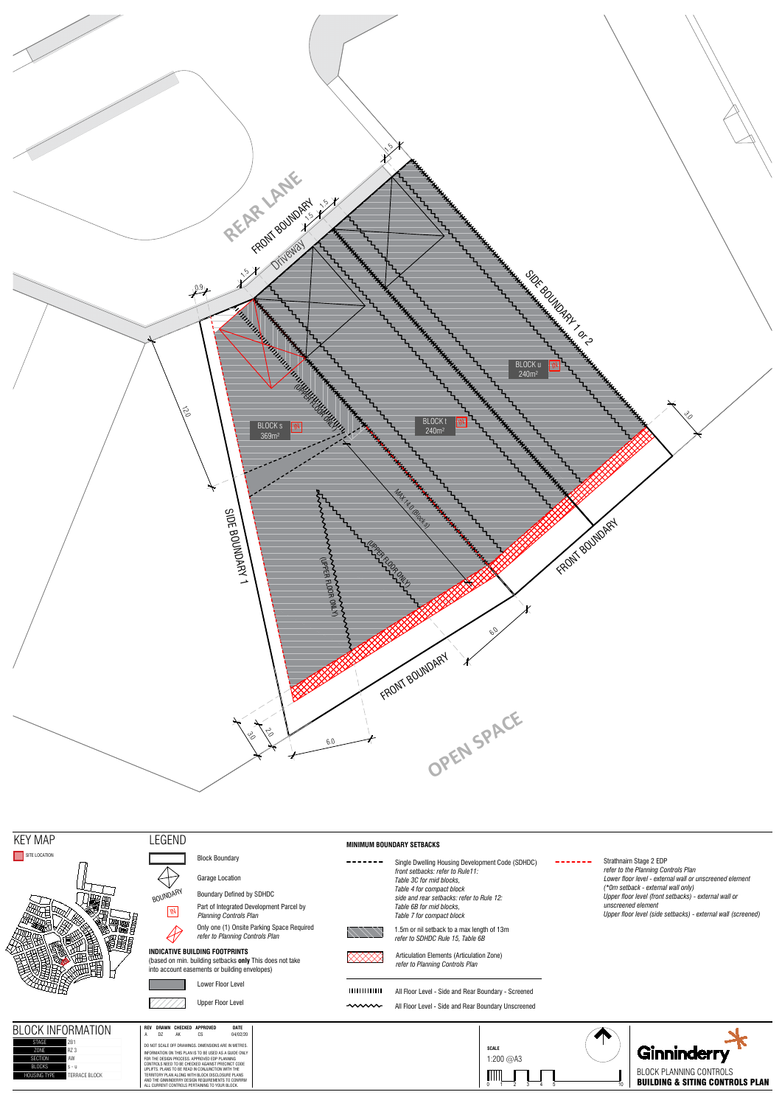



 $- - -$ 





# SITE LOCATION



| ΒI<br>INFORMATION<br>nck | REV | <b>DRAWN</b>                                         | CHECKED | <b>APPROVED</b> | DATE                                                    |  |  |
|--------------------------|-----|------------------------------------------------------|---------|-----------------|---------------------------------------------------------|--|--|
|                          |     |                                                      | АK      | СS              | 04/02/20                                                |  |  |
| 2B1                      |     | DO NOT SCALE OFF DRAWINGS. DIMENSIONS ARE IN METRES. |         |                 |                                                         |  |  |
| R7 3                     |     |                                                      |         |                 | INFORMATION ON THIS BLAN IS TO BE HISED AS A SHIDE ONLY |  |  |

SECTION AW BLOCKS s - u  $1111111111111$ All Floor Level - Side and Rear Boundary - Screened

## Upper Floor Level **All Floor Level** - Side and Rear Boundary Unscreened

|               | INFURMATION      | ncv |    |    | UNAWN GAEGRED AFFROVED                                                                                 | UMIC     |
|---------------|------------------|-----|----|----|--------------------------------------------------------------------------------------------------------|----------|
|               |                  | А   | DZ | AK | СS                                                                                                     | 04/02/20 |
| STAGF         | 2 <sub>B</sub> 1 |     |    |    | DO NOT SCALE OFF DRAWINGS. DIMENSIONS ARE IN METRES.                                                   |          |
| 70NF          | R7 3             |     |    |    | INFORMATION ON THIS PLAN IS TO BE USED AS A GUIDE ONLY                                                 |          |
| FCTION        | AW               |     |    |    | FOR THE DESIGN PROCESS. APPROVED EDP PLANNING                                                          |          |
| <b>BIOCKS</b> | $S - U$          |     |    |    | CONTROLS NEED TO BE CHECKED AGAINST PRECINCT CODE<br>UPLIFTS. PLANS TO BE READ IN CONJUNCTION WITH THE |          |
| SING TYPF     | TFRRACF BIOCK    |     |    |    | TERRITORY PLAN ALONG WITH BLOCK DISCLOSURE PLANS.                                                      |          |
|               |                  |     |    |    | AND THE GINNINDERRY DESIGN REQUIREMENTS TO CONFIRM                                                     |          |
|               |                  |     |    |    | ALL CURRENT CONTROLS PERTAINING TO YOUR BLOCK.                                                         |          |

 $- - - - - - -$ Single Dwelling Housing Development Code (SDHDC) *front setbacks: refer to Rule11: Table 3C for mid blocks, Table 4 for compact block side and rear setbacks: refer to Rule 12: Table 6B for mid blocks, Table 7 for compact block*



 $\bigoplus$ 

Block Boundary

Garage Location

BOUNDARY Boundary Defined by SDHDC Part of Integrated Development Parcel by *Planning Controls Planning* 



### **INDICATIVE BUILDING FOOTPRINTS**

(based on min. building setbacks **only** This does not take into account easements or building envelopes)





### **MINIMUM BOUNDARY SETBACKS**

1.5m or nil setback to a max length of 13m *refer to SDHDC Rule 15, Table 6B*



Articulation Elements (Articulation Zone) *refer to Planning Controls Plan*

Only one (1) Onsite Parking Space Required *refer to Planning Controls Plan*

Strathnairn Stage 2 EDP *refer to the Planning Controls Plan Lower floor level - external wall or unscreened element (\*0m setback - external wall only) Upper floor level (front setbacks) - external wall or unscreened element Upper floor level (side setbacks) - external wall (screened)*